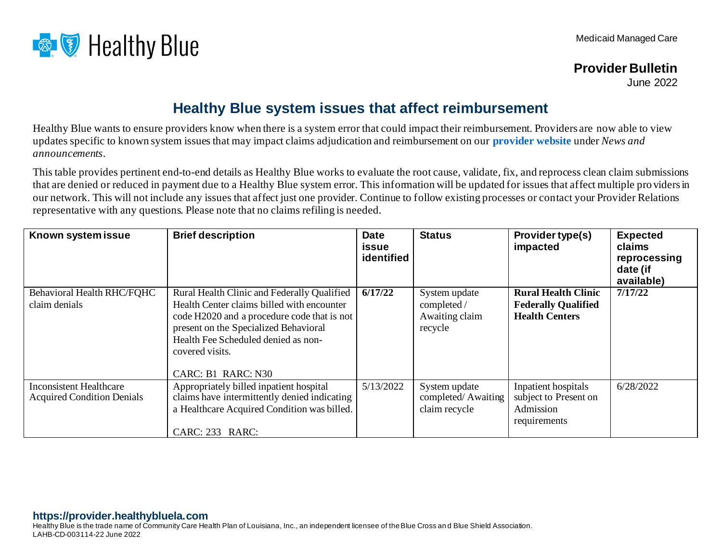

## **Provider Bulletin**

June 2022

## **Healthy Blue system issues that affect reimbursement**

Healthy Blue wants to ensure providers know when there is a system error that could impact their reimbursement. Providers are now able to view updates specific to known system issues that may impact claims adjudication and reimbursement on our **[provider website](https://provider.healthybluela.com/)** under *News and announcements*.

This table provides pertinent end-to-end details as Healthy Blue works to evaluate the root cause, validate, fix, and reprocess clean claim submissions that are denied or reduced in payment due to a Healthy Blue system error. This information will be updated for issues that affect multiple pro viders in our network. This will not include any issues that affect just one provider. Continue to follow existing processes or contact your Provider Relations representative with any questions. Please note that no claims refiling is needed.

| Known system issue                                                  | <b>Brief description</b>                                                                                                                                                                                                                                          | <b>Date</b><br>issue<br>identified | <b>Status</b>                                             | Provider type(s)<br>impacted                                                      | <b>Expected</b><br>claims<br>reprocessing<br>date (if<br>available) |
|---------------------------------------------------------------------|-------------------------------------------------------------------------------------------------------------------------------------------------------------------------------------------------------------------------------------------------------------------|------------------------------------|-----------------------------------------------------------|-----------------------------------------------------------------------------------|---------------------------------------------------------------------|
| Behavioral Health RHC/FQHC<br>claim denials                         | Rural Health Clinic and Federally Qualified<br>Health Center claims billed with encounter<br>code H2020 and a procedure code that is not<br>present on the Specialized Behavioral<br>Health Fee Scheduled denied as non-<br>covered visits.<br>CARC: B1 RARC: N30 | 6/17/22                            | System update<br>completed /<br>Awaiting claim<br>recycle | <b>Rural Health Clinic</b><br><b>Federally Qualified</b><br><b>Health Centers</b> | 7/17/22                                                             |
| <b>Inconsistent Healthcare</b><br><b>Acquired Condition Denials</b> | Appropriately billed inpatient hospital<br>claims have intermittently denied indicating<br>a Healthcare Acquired Condition was billed.<br>CARC: 233 RARC:                                                                                                         | 5/13/2022                          | System update<br>completed/Awaiting<br>claim recycle      | Inpatient hospitals<br>subject to Present on<br>Admission<br>requirements         | 6/28/2022                                                           |

## **https://provider.healthybluela.com**

Healthy Blue is the trade name of Community Care Health Plan of Louisiana, Inc., an independent licensee of the Blue Cross an d Blue Shield Association. LAHB-CD-003114-22 June 2022